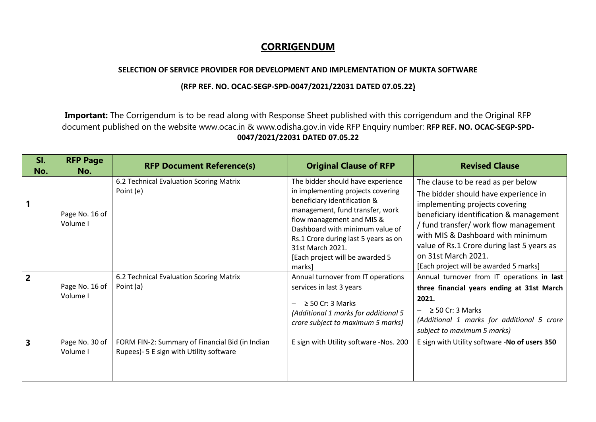## **CORRIGENDUM**

## **SELECTION OF SERVICE PROVIDER FOR DEVELOPMENT AND IMPLEMENTATION OF MUKTA SOFTWARE**

## **(RFP REF. NO. OCAC-SEGP-SPD-0047/2021/22031 DATED 07.05.22)**

**Important:** The Corrigendum is to be read along with Response Sheet published with this corrigendum and the Original RFP document published on the website www.ocac.in & www.odisha.gov.in vide RFP Enquiry number: **RFP REF. NO. OCAC-SEGP-SPD-0047/2021/22031 DATED 07.05.22**

| SI.<br>No.              | <b>RFP Page</b><br>No.     | <b>RFP Document Reference(s)</b>                                                           | <b>Original Clause of RFP</b>                                                                                                                                                                                                                                                                                      | <b>Revised Clause</b>                                                                                                                                                                                                                                                                                                                                |
|-------------------------|----------------------------|--------------------------------------------------------------------------------------------|--------------------------------------------------------------------------------------------------------------------------------------------------------------------------------------------------------------------------------------------------------------------------------------------------------------------|------------------------------------------------------------------------------------------------------------------------------------------------------------------------------------------------------------------------------------------------------------------------------------------------------------------------------------------------------|
| 1                       | Page No. 16 of<br>Volume I | 6.2 Technical Evaluation Scoring Matrix<br>Point (e)                                       | The bidder should have experience<br>in implementing projects covering<br>beneficiary identification &<br>management, fund transfer, work<br>flow management and MIS &<br>Dashboard with minimum value of<br>Rs.1 Crore during last 5 years as on<br>31st March 2021.<br>[Each project will be awarded 5<br>marks] | The clause to be read as per below<br>The bidder should have experience in<br>implementing projects covering<br>beneficiary identification & management<br>/ fund transfer/ work flow management<br>with MIS & Dashboard with minimum<br>value of Rs.1 Crore during last 5 years as<br>on 31st March 2021.<br>[Each project will be awarded 5 marks] |
| $\overline{2}$          | Page No. 16 of<br>Volume I | 6.2 Technical Evaluation Scoring Matrix<br>Point (a)                                       | Annual turnover from IT operations<br>services in last 3 years<br>$\geq$ 50 Cr: 3 Marks<br>(Additional 1 marks for additional 5<br>crore subject to maximum 5 marks)                                                                                                                                               | Annual turnover from IT operations in last<br>three financial years ending at 31st March<br>2021.<br>$\geq$ 50 Cr: 3 Marks<br>(Additional 1 marks for additional 5 crore<br>subject to maximum 5 marks)                                                                                                                                              |
| $\overline{\mathbf{3}}$ | Page No. 30 of<br>Volume I | FORM FIN-2: Summary of Financial Bid (in Indian<br>Rupees)- 5 E sign with Utility software | E sign with Utility software -Nos. 200                                                                                                                                                                                                                                                                             | E sign with Utility software -No of users 350                                                                                                                                                                                                                                                                                                        |